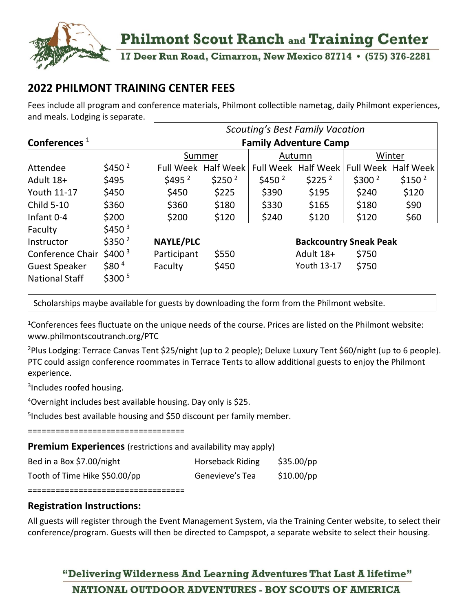

## **Philmont Scout Ranch and Training Center**

17 Deer Run Road, Cimarron, New Mexico 87714 • (575) 376-2281

## **2022 PHILMONT TRAINING CENTER FEES**

Fees include all program and conference materials, Philmont collectible nametag, daily Philmont experiences, and meals. Lodging is separate.

|                       |                    | <b>Scouting's Best Family Vacation</b> |                            |                               |                     |                    |                     |  |
|-----------------------|--------------------|----------------------------------------|----------------------------|-------------------------------|---------------------|--------------------|---------------------|--|
| Conferences $1$       |                    | <b>Family Adventure Camp</b>           |                            |                               |                     |                    |                     |  |
|                       |                    | Summer                                 |                            | Autumn                        |                     | Winter             |                     |  |
| Attendee              | \$450 $^2$         |                                        | <b>Full Week Half Week</b> |                               | Full Week Half Week |                    | Full Week Half Week |  |
| Adult 18+             | \$495              | \$495 <sup>2</sup>                     | \$250 <sup>2</sup>         | \$450 <sup>2</sup>            | \$225 <sup>2</sup>  | \$300 <sup>2</sup> | \$150 <sup>2</sup>  |  |
| Youth 11-17           | \$450              | \$450                                  | \$225                      | \$390                         | \$195               | \$240              | \$120               |  |
| <b>Child 5-10</b>     | \$360              | \$360                                  | \$180                      | \$330                         | \$165               | \$180              | \$90                |  |
| Infant 0-4            | \$200              | \$200                                  | \$120                      | \$240                         | \$120               | \$120              | \$60                |  |
| Faculty               | \$450 <sup>3</sup> |                                        |                            |                               |                     |                    |                     |  |
| Instructor            | \$350 <sup>2</sup> | <b>NAYLE/PLC</b>                       |                            | <b>Backcountry Sneak Peak</b> |                     |                    |                     |  |
| Conference Chair      | $$400^3$           | Participant                            | \$550                      |                               | Adult 18+           | \$750              |                     |  |
| <b>Guest Speaker</b>  | \$80 <sup>4</sup>  | Faculty                                | \$450                      |                               | Youth 13-17         | \$750              |                     |  |
| <b>National Staff</b> | \$300 <sup>5</sup> |                                        |                            |                               |                     |                    |                     |  |

Scholarships maybe available for guests by downloading the form from the Philmont website.

<sup>1</sup>Conferences fees fluctuate on the unique needs of the course. Prices are listed on the Philmont website: www.philmontscoutranch.org/PTC

<sup>2</sup>Plus Lodging: Terrace Canvas Tent \$25/night (up to 2 people); Deluxe Luxury Tent \$60/night (up to 6 people). PTC could assign conference roommates in Terrace Tents to allow additional guests to enjoy the Philmont experience.

<sup>3</sup>Includes roofed housing.

<sup>4</sup>Overnight includes best available housing. Day only is \$25.

5 Includes best available housing and \$50 discount per family member.

==================================

**Premium Experiences** (restrictions and availability may apply)

| Bed in a Box \$7.00/night     | Horseback Riding | \$35.00/pp   |
|-------------------------------|------------------|--------------|
| Tooth of Time Hike \$50.00/pp | Genevieve's Tea  | $$10.00$ /pp |

==================================

## **Registration Instructions:**

All guests will register through the Event Management System, via the Training Center website, to select their conference/program. Guests will then be directed to Campspot, a separate website to select their housing.

"Delivering Wilderness And Learning Adventures That Last A lifetime" NATIONAL OUTDOOR ADVENTURES - BOY SCOUTS OF AMERICA